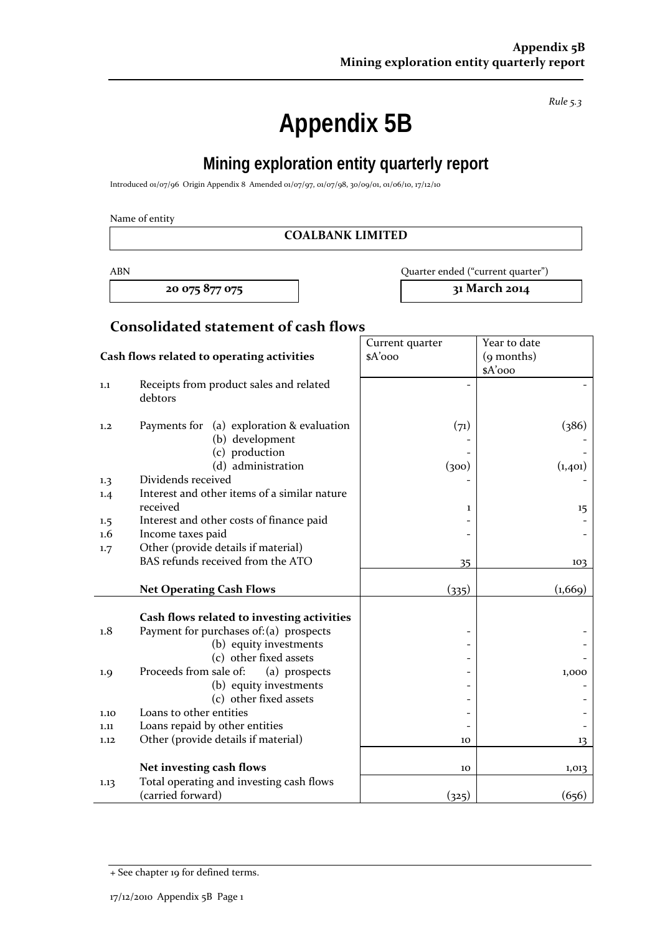**Appendix 5B** 

**Mining exploration entity quarterly report** 

Introduced 01/07/96 Origin Appendix 8 Amended 01/07/97, 01/07/98, 30/09/01, 01/06/10, 17/12/10

Name of entity

#### **COALBANK LIMITED**

**20 075 877 075 31 March 2014**

ABN Quarter ended ("current quarter")

## **Consolidated statement of cash flows**

|                                            |                                                                                | Current quarter | Year to date |  |
|--------------------------------------------|--------------------------------------------------------------------------------|-----------------|--------------|--|
| Cash flows related to operating activities |                                                                                | $A'$ ooo        | (9 months)   |  |
|                                            |                                                                                |                 | \$A'ooo      |  |
| 1.1                                        | Receipts from product sales and related<br>debtors                             |                 |              |  |
| 1,2                                        | Payments for (a) exploration & evaluation<br>(b) development<br>(c) production | (71)            | (386)        |  |
|                                            | (d) administration                                                             | (300)           | (1,401)      |  |
| 1.3                                        | Dividends received<br>Interest and other items of a similar nature             |                 |              |  |
| 1.4                                        | received                                                                       | 1               | 15           |  |
| 1.5                                        | Interest and other costs of finance paid                                       |                 |              |  |
| $1.6\,$                                    | Income taxes paid                                                              |                 |              |  |
| 1.7                                        | Other (provide details if material)                                            |                 |              |  |
|                                            | BAS refunds received from the ATO                                              | 35              | 103          |  |
|                                            | <b>Net Operating Cash Flows</b>                                                | (335)           | (1,669)      |  |
|                                            |                                                                                |                 |              |  |
|                                            | Cash flows related to investing activities                                     |                 |              |  |
| 1.8                                        | Payment for purchases of: (a) prospects                                        |                 |              |  |
|                                            | (b) equity investments                                                         |                 |              |  |
|                                            | (c) other fixed assets                                                         |                 |              |  |
| 1.9                                        | Proceeds from sale of:<br>(a) prospects                                        |                 | 1,000        |  |
|                                            | (b) equity investments                                                         |                 |              |  |
|                                            | (c) other fixed assets                                                         |                 |              |  |
| 1.10                                       | Loans to other entities                                                        |                 |              |  |
| 1.11                                       | Loans repaid by other entities                                                 |                 |              |  |
| 1.12                                       | Other (provide details if material)                                            | 10              | 13           |  |
|                                            |                                                                                |                 |              |  |
|                                            | Net investing cash flows                                                       | 10              | 1,013        |  |
| 1.13                                       | Total operating and investing cash flows<br>(carried forward)                  | (325)           | (656)        |  |

*Rule 5.3*

<sup>+</sup> See chapter 19 for defined terms.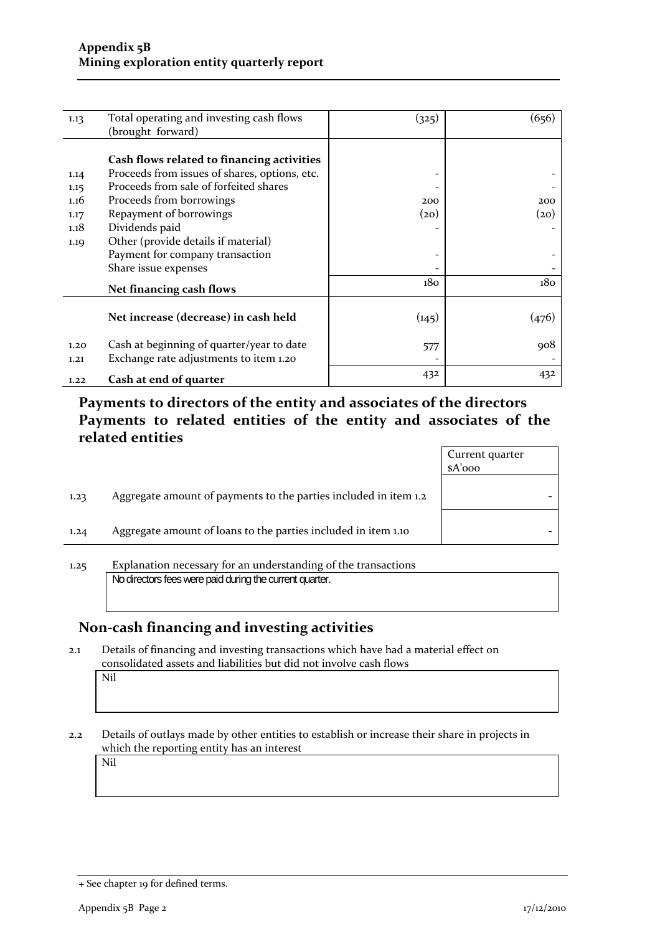| 1.13 | Total operating and investing cash flows      | (325)           | (656) |
|------|-----------------------------------------------|-----------------|-------|
|      | (brought forward)                             |                 |       |
|      |                                               |                 |       |
|      | Cash flows related to financing activities    |                 |       |
| 1.14 | Proceeds from issues of shares, options, etc. |                 |       |
| 1.15 | Proceeds from sale of forfeited shares        |                 |       |
| 1.16 | Proceeds from borrowings                      | 200             | 200   |
| 1.17 | Repayment of borrowings                       | (20)            | (20)  |
| 1.18 | Dividends paid                                |                 |       |
| 1.19 | Other (provide details if material)           |                 |       |
|      | Payment for company transaction               |                 |       |
|      | Share issue expenses                          |                 |       |
|      | Net financing cash flows                      | 18 <sub>0</sub> | 180   |
|      |                                               |                 |       |
|      | Net increase (decrease) in cash held          | (145)           | (476) |
|      |                                               |                 |       |
| 1.20 | Cash at beginning of quarter/year to date     | 577             | 908   |
| 1,21 | Exchange rate adjustments to item 1.20        |                 |       |
|      | Cash at end of quarter                        | 432             | 432   |
| 1.22 |                                               |                 |       |

**Payments to directors of the entity and associates of the directors Payments to related entities of the entity and associates of the related entities**

| Aggregate amount of payments to the parties included in item 1.2<br>1.23 |  |
|--------------------------------------------------------------------------|--|
| Aggregate amount of loans to the parties included in item 1.10<br>1.24   |  |

1.25 Explanation necessary for an understanding of the transactions No directors fees were paid during the current quarter.

### **Non‐cash financing and investing activities**

2.1 Details of financing and investing transactions which have had a material effect on consolidated assets and liabilities but did not involve cash flows

Nil

2.2 Details of outlays made by other entities to establish or increase their share in projects in which the reporting entity has an interest

Nil

<sup>+</sup> See chapter 19 for defined terms.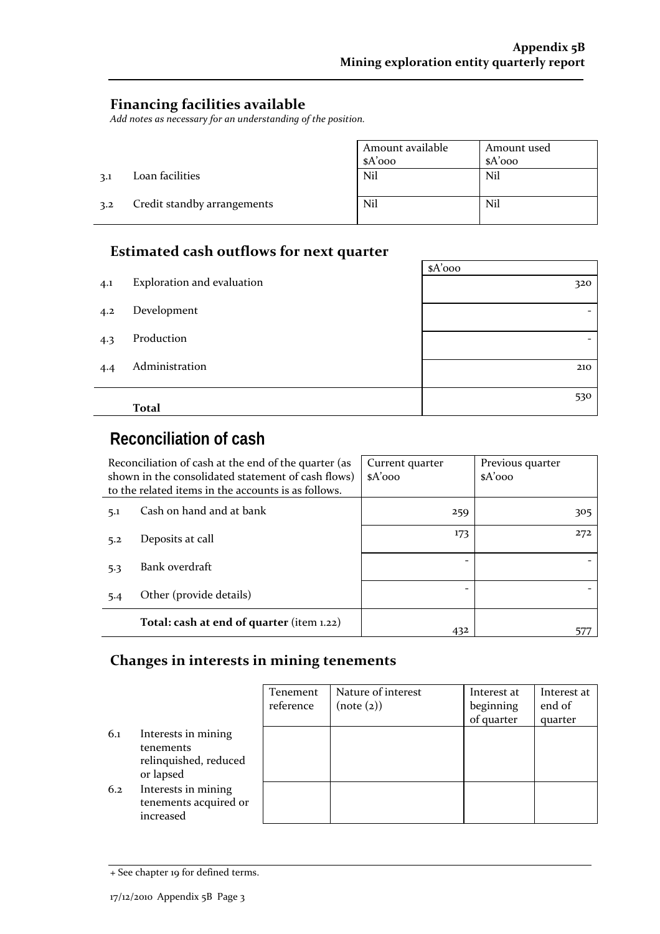$\sim$ 

### **Financing facilities available**

*Add notes as necessary for an understanding of the position.*

|     |                             | Amount available | Amount used |
|-----|-----------------------------|------------------|-------------|
|     |                             | $A'$ 000         | $A'$ 000    |
| 3.1 | Loan facilities             | Nil              | Nil         |
| 3.2 | Credit standby arrangements | Nil              | Nil         |

## **Estimated cash outflows for next quarter**

|     |                            | $A'$ 000 |
|-----|----------------------------|----------|
| 4.1 | Exploration and evaluation | 320      |
| 4.2 | Development                | -        |
| 4.3 | Production                 |          |
| 4.4 | Administration             | 210      |
|     | <b>Total</b>               | 530      |

# **Reconciliation of cash**

| Reconciliation of cash at the end of the quarter (as<br>shown in the consolidated statement of cash flows)<br>to the related items in the accounts is as follows. |                                           | Current quarter<br>$A'$ 000 | Previous quarter<br>$A'$ 000 |
|-------------------------------------------------------------------------------------------------------------------------------------------------------------------|-------------------------------------------|-----------------------------|------------------------------|
| 5.1                                                                                                                                                               | Cash on hand and at bank                  | 259                         | 305                          |
| 5.2                                                                                                                                                               | Deposits at call                          | 173                         | 272                          |
| 5.3                                                                                                                                                               | Bank overdraft                            |                             |                              |
| 5.4                                                                                                                                                               | Other (provide details)                   |                             |                              |
|                                                                                                                                                                   | Total: cash at end of quarter (item 1.22) | 432                         |                              |

#### **Changes in interests in mining tenements**

|     |                                                                        | Tenement<br>reference | Nature of interest<br>(note (2)) | Interest at<br>beginning<br>of quarter | Interest at<br>end of<br>quarter |
|-----|------------------------------------------------------------------------|-----------------------|----------------------------------|----------------------------------------|----------------------------------|
| 6.1 | Interests in mining<br>tenements<br>relinquished, reduced<br>or lapsed |                       |                                  |                                        |                                  |
| 6.2 | Interests in mining<br>tenements acquired or<br>increased              |                       |                                  |                                        |                                  |

<sup>+</sup> See chapter 19 for defined terms.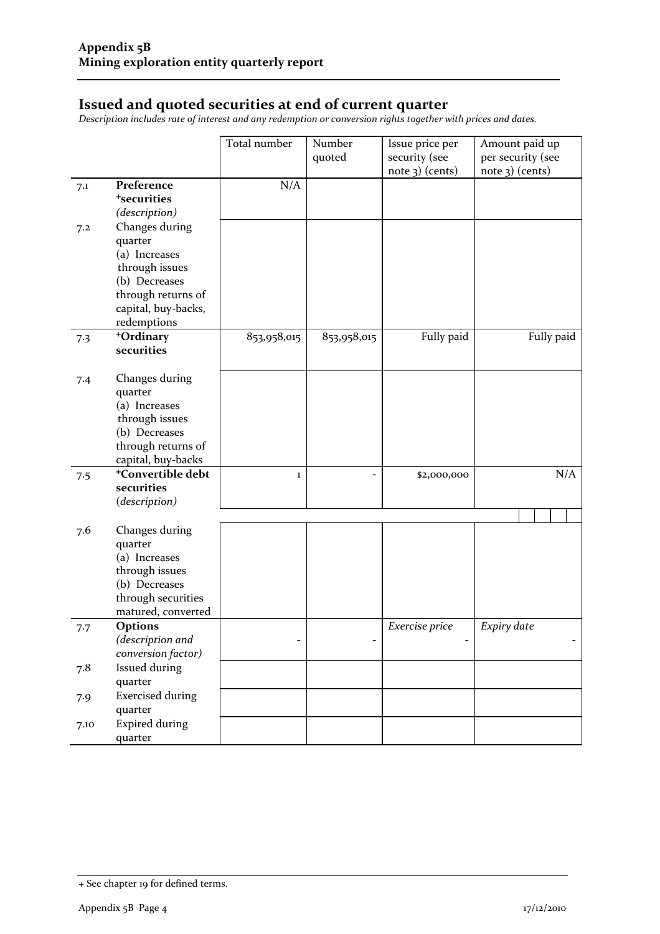### **Issued and quoted securities at end of current quarter**

*Description includes rate of interest and any redemption or conversion rights together with prices and dates.*

|      |                                                                                                                                           | Total number | Number<br>quoted | Issue price per<br>security (see<br>note 3) (cents) | Amount paid up<br>per security (see<br>note 3) (cents) |
|------|-------------------------------------------------------------------------------------------------------------------------------------------|--------------|------------------|-----------------------------------------------------|--------------------------------------------------------|
| 7.1  | Preference<br><sup>+</sup> securities<br>(description)                                                                                    | N/A          |                  |                                                     |                                                        |
| 7.2  | Changes during<br>quarter<br>(a) Increases<br>through issues<br>(b) Decreases<br>through returns of<br>capital, buy-backs,<br>redemptions |              |                  |                                                     |                                                        |
| 7.3  | +Ordinary<br>securities                                                                                                                   | 853,958,015  | 853,958,015      | Fully paid                                          | Fully paid                                             |
| 7.4  | Changes during<br>quarter<br>(a) Increases<br>through issues<br>(b) Decreases<br>through returns of<br>capital, buy-backs                 |              |                  |                                                     |                                                        |
| 7.5  | <sup>+</sup> Convertible debt<br>securities<br>(description)                                                                              | $\bf{1}$     | -                | \$2,000,000                                         | N/A                                                    |
| 7.6  | Changes during<br>quarter<br>(a) Increases<br>through issues<br>(b) Decreases<br>through securities<br>matured, converted                 |              |                  |                                                     |                                                        |
| 7.7  | Options<br>(description and<br>conversion factor)                                                                                         |              |                  | Exercise price                                      | Expiry date                                            |
| 7.8  | <b>Issued during</b><br>quarter                                                                                                           |              |                  |                                                     |                                                        |
| 7.9  | <b>Exercised during</b><br>quarter                                                                                                        |              |                  |                                                     |                                                        |
| 7.10 | <b>Expired during</b><br>quarter                                                                                                          |              |                  |                                                     |                                                        |

<sup>+</sup> See chapter 19 for defined terms.